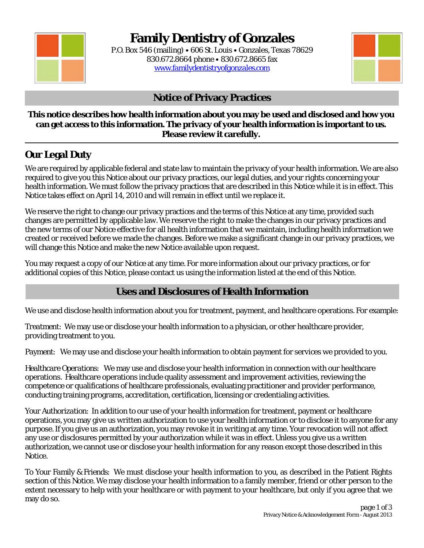

**Family Dentistry of Gonzales** P.O. Box 546 (mailing) **•**606 St. Louis **•**Gonzales, Texas 78629 830.672.8664 phone **•**830.672.8665 fax *www.familydentistryofgonzales.com*



### **Notice of Privacy Practices**

**This notice describes how health information about you may be used and disclosed and how you can get access to this information. The privacy of your health information is important to us. Please review it carefully.**

## **Our Legal Duty**

We are required by applicable federal and state law to maintain the privacy of your health information. We are also required to give you this Notice about our privacy practices, our legal duties, and your rights concerning your health information. We must follow the privacy practices that are described in this Notice while it is in effect. This Notice takes effect on April 14, 2010 and will remain in effect until we replace it.

We reserve the right to change our privacy practices and the terms of this Notice at any time, provided such changes are permitted by applicable law. We reserve the right to make the changes in our privacy practices and the new terms of our Notice effective for all health information that we maintain, including health information we created or received before we made the changes. Before we make a significant change in our privacy practices, we will change this Notice and make the new Notice available upon request.

You may request a copy of our Notice at any time. For more information about our privacy practices, or for additional copies of this Notice, please contact us using the information listed at the end of this Notice.

## **Uses and Disclosures of Health Information**

We use and disclose health information about you for treatment, payment, and healthcare operations. For example:

*Treatment:* We may use or disclose your health information to a physician, or other healthcare provider, providing treatment to you.

*Payment:* We may use and disclose your health information to obtain payment for services we provided to you.

*Healthcare Operations:* We may use and disclose your health information in connection with our healthcare operations. Healthcare operations include quality assessment and improvement activities, reviewing the competence or qualifications of healthcare professionals, evaluating practitioner and provider performance, conducting training programs, accreditation, certification, licensing or credentialing activities.

*Your Authorization:* In addition to our use of your health information for treatment, payment or healthcare operations, you may give us written authorization to use your health information or to disclose it to anyone for any purpose. If you give us an authorization, you may revoke it in writing at any time. Your revocation will not affect any use or disclosures permitted by your authorization while it was in effect. Unless you give us a written authorization, we cannot use or disclose your health information for any reason except those described in this Notice.

*To Your Family & Friends:* We must disclose your health information to you, as described in the Patient Rights section of this Notice. We may disclose your health information to a family member, friend or other person to the extent necessary to help with your healthcare or with payment to your healthcare, but only if you agree that we may do so.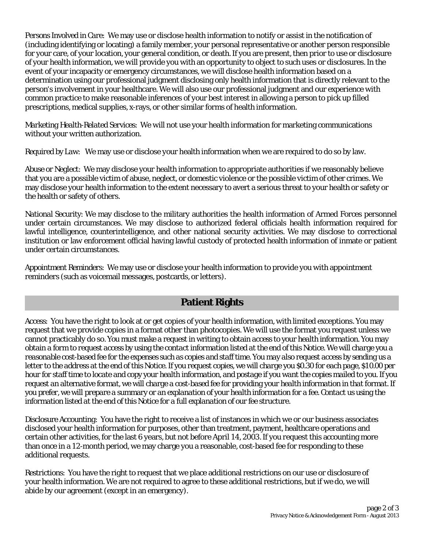*Persons Involved in Care:* We may use or disclose health information to notify or assist in the notification of (including identifying or locating) a family member, your personal representative or another person responsible for your care, of your location, your general condition, or death. If you are present, then prior to use or disclosure of your health information, we will provide you with an opportunity to object to such uses or disclosures. In the event of your incapacity or emergency circumstances, we will disclose health information based on a determination using our professional judgment disclosing only health information that is directly relevant to the person's involvement in your healthcare. We will also use our professional judgment and our experience with common practice to make reasonable inferences of your best interest in allowing a person to pick up filled prescriptions, medical supplies, x-rays, or other similar forms of health information.

*Marketing Health-Related Services:* We will not use your health information for marketing communications without your written authorization.

*Required by Law:* We may use or disclose your health information when we are required to do so by law.

*Abuse or Neglect:* We may disclose your health information to appropriate authorities if we reasonably believe that you are a possible victim of abuse, neglect, or domestic violence or the possible victim of other crimes. We may disclose your health information to the extent necessary to avert a serious threat to your health or safety or the health or safety of others.

*National Security:* We may disclose to the military authorities the health information of Armed Forces personnel under certain circumstances. We may disclose to authorized federal officials health information required for lawful intelligence, counterintelligence, and other national security activities. We may disclose to correctional institution or law enforcement official having lawful custody of protected health information of inmate or patient under certain circumstances.

*Appointment Reminders:* We may use or disclose your health information to provide you with appointment reminders (such as voicemail messages, postcards, or letters).

#### **Patient Rights**

*Access:* You have the right to look at or get copies of your health information, with limited exceptions. You may request that we provide copies in a format other than photocopies. We will use the format you request unless we cannot practicably do so. You must make a request in writing to obtain access to your health information. You may obtain a form to request access by using the contact information listed at the end of this Notice. We will charge you a reasonable cost-based fee for the expenses such as copies and staff time. You may also request access by sending us a letter to the address at the end of this Notice. If you request copies, we will charge you \$0.30 for each page, \$10.00 per hour for staff time to locate and copy your health information, and postage if you want the copies mailed to you. If you request an alternative format, we will charge a cost-based fee for providing your health information in that format. If you prefer, we will prepare a summary or an explanation of your health information for a fee. Contact us using the *information listed at the end of this Notice for a full explanation of our fee structure.*

*Disclosure Accounting:* You have the right to receive a list of instances in which we or our business associates disclosed your health information for purposes, other than treatment, payment, healthcare operations and certain other activities, for the last 6 years, but not before April 14, 2003. If you request this accounting more than once in a 12-month period, we may charge you a reasonable, cost-based fee for responding to these additional requests.

*Restrictions:* You have the right to request that we place additional restrictions on our use or disclosure of your health information. We are not required to agree to these additional restrictions, but if we do, we will abide by our agreement (except in an emergency).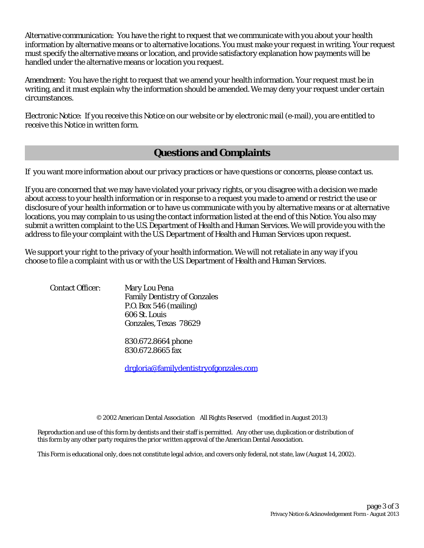*Alternative communication:* You have the right to request that we communicate with you about your health information by alternative means or to alternative locations. You must make your request in writing. Your request must specify the alternative means or location, and provide satisfactory explanation how payments will be handled under the alternative means or location you request.

*Amendment:* You have the right to request that we amend your health information. Your request must be in writing, and it must explain why the information should be amended. We may deny your request under certain circumstances.

*Electronic Notice:* If you receive this Notice on our website or by electronic mail (e-mail), you are entitled to receive this Notice in written form.

#### **Questions and Complaints**

If you want more information about our privacy practices or have questions or concerns, please contact us.

If you are concerned that we may have violated your privacy rights, or you disagree with a decision we made about access to your health information or in response to a request you made to amend or restrict the use or disclosure of your health information or to have us communicate with you by alternative means or at alternative locations, you may complain to us using the contact information listed at the end of this Notice. You also may submit a written complaint to the U.S. Department of Health and Human Services. We will provide you with the address to file your complaint with the U.S. Department of Health and Human Services upon request.

We support your right to the privacy of your health information. We will not retaliate in any way if you choose to file a complaint with us or with the U.S. Department of Health and Human Services.

Contact Officer: Mary Lou Pena Family Dentistry of Gonzales P.O. Box 546 (mailing) 606 St. Louis Gonzales, Texas 78629

> 830.672.8664 phone 830.672.8665 fax

drgloria@familydentistryofgonzales.com

© 2002 American Dental Association All Rights Reserved (modified in August 2013)

Reproduction and use of this form by dentists and their staff is permitted. Any other use, duplication or distribution of this form by any other party requires the prior written approval of the American Dental Association.

This Form is educational only, does not constitute legal advice, and covers only federal, not state, law (August 14, 2002).